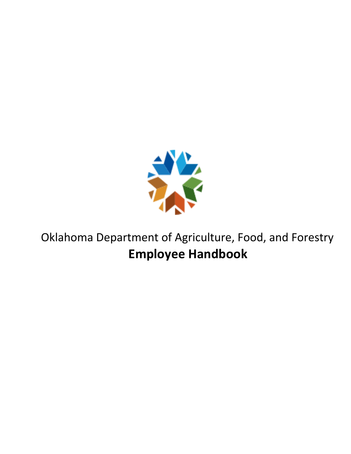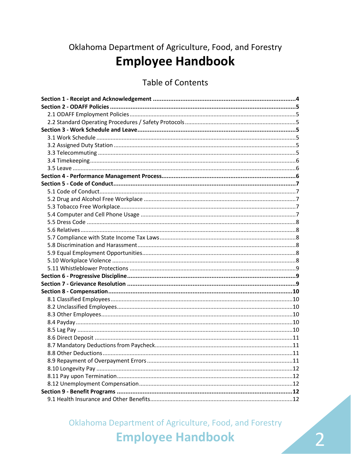## **Table of Contents**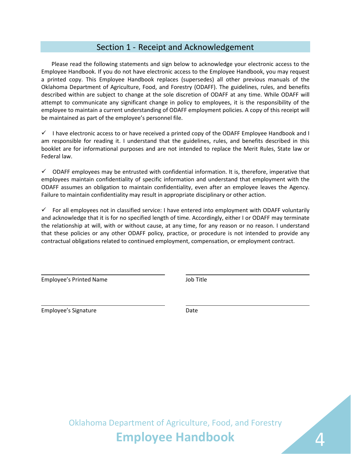## Section 1 - Receipt and Acknowledgement

<span id="page-3-0"></span>Please read the following statements and sign below to acknowledge your electronic access to the Employee Handbook. If you do not have electronic access to the Employee Handbook, you may request a printed copy. This Employee Handbook replaces (supersedes) all other previous manuals of the Oklahoma Department of Agriculture, Food, and Forestry (ODAFF). The guidelines, rules, and benefits described within are subject to change at the sole discretion of ODAFF at any time. While ODAFF will attempt to communicate any significant change in policy to employees, it is the responsibility of the employee to maintain a current understanding of ODAFF employment policies. A copy of this receipt will be maintained as part of the employee's personnel file.

 $\checkmark$  I have electronic access to or have received a printed copy of the ODAFF Employee Handbook and I am responsible for reading it. I understand that the guidelines, rules, and benefits described in this booklet are for informational purposes and are not intended to replace the Merit Rules, State law or Federal law.

 $\checkmark$  ODAFF employees may be entrusted with confidential information. It is, therefore, imperative that employees maintain confidentiality of specific information and understand that employment with the ODAFF assumes an obligation to maintain confidentiality, even after an employee leaves the Agency. Failure to maintain confidentiality may result in appropriate disciplinary or other action.

 For all employees not in classified service: I have entered into employment with ODAFF voluntarily and acknowledge that it is for no specified length of time. Accordingly, either I or ODAFF may terminate the relationship at will, with or without cause, at any time, for any reason or no reason. I understand that these policies or any other ODAFF policy, practice, or procedure is not intended to provide any contractual obligations related to continued employment, compensation, or employment contract.

Employee's Printed Name Job Title

Employee's Signature data and the Date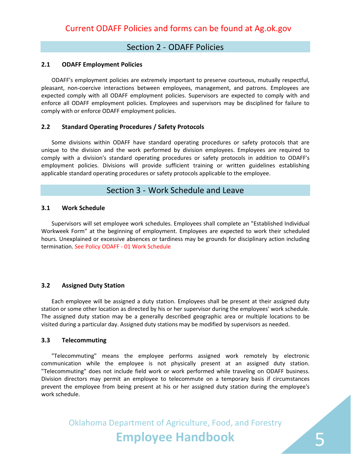## Section 2 - ODAFF Policies

#### <span id="page-4-1"></span><span id="page-4-0"></span>**2.1 ODAFF Employment Policies**

ODAFF's employment policies are extremely important to preserve courteous, mutually respectful, pleasant, non-coercive interactions between employees, management, and patrons. Employees are expected comply with all ODAFF employment policies. Supervisors are expected to comply with and enforce all ODAFF employment policies. Employees and supervisors may be disciplined for failure to comply with or enforce ODAFF employment policies.

#### <span id="page-4-2"></span>**2.2 Standard Operating Procedures / Safety Protocols**

Some divisions within ODAFF have standard operating procedures or safety protocols that are unique to the division and the work performed by division employees. Employees are required to comply with a division's standard operating procedures or safety protocols in addition to ODAFF's employment policies. Divisions will provide sufficient training or written guidelines establishing applicable standard operating procedures or safety protocols applicable to the employee.

### Section 3 - Work Schedule and Leave

#### <span id="page-4-4"></span><span id="page-4-3"></span>**3.1 Work Schedule**

Supervisors will set employee work schedules. Employees shall complete an "Established Individual Workweek Form" at the beginning of employment. Employees are expected to work their scheduled hours. Unexplained or excessive absences or tardiness may be grounds for disciplinary action including termination. See Policy ODAFF - 01 Work Schedule

#### <span id="page-4-5"></span>**3.2 Assigned Duty Station**

Each employee will be assigned a duty station. Employees shall be present at their assigned duty station or some other location as directed by his or her supervisor during the employees' work schedule. The assigned duty station may be a generally described geographic area or multiple locations to be visited during a particular day. Assigned duty stations may be modified by supervisors as needed.

#### <span id="page-4-6"></span>**3.3 Telecommuting**

"Telecommuting" means the employee performs assigned work remotely by electronic communication while the employee is not physically present at an assigned duty station. "Telecommuting" does not include field work or work performed while traveling on ODAFF business. Division directors may permit an employee to telecommute on a temporary basis if circumstances prevent the employee from being present at his or her assigned duty station during the employee's work schedule.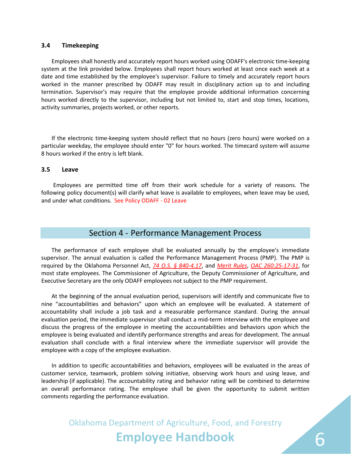#### <span id="page-5-0"></span>**3.4 Timekeeping**

Employees shall honestly and accurately report hours worked using ODAFF's electronic time-keeping system at the link provided below. Employees shall report hours worked at least once each week at a date and time established by the employee's supervisor. Failure to timely and accurately report hours worked in the manner prescribed by ODAFF may result in disciplinary action up to and including termination. Supervisor's may require that the employee provide additional information concerning hours worked directly to the supervisor, including but not limited to, start and stop times, locations, activity summaries, projects worked, or other reports.

If the electronic time-keeping system should reflect that no hours (zero hours) were worked on a particular weekday, the employee should enter "0" for hours worked. The timecard system will assume 8 hours worked if the entry is left blank.

#### <span id="page-5-1"></span>**3.5 Leave**

Employees are permitted time off from their work schedule for a variety of reasons. The following policy document(s) will clarify what leave is available to employees, when leave may be used, and under what conditions. See Policy ODAFF - 02 Leave

### Section 4 - Performance Management Process

<span id="page-5-2"></span>The performance of each employee shall be evaluated annually by the employee's immediate supervisor. The annual evaluation is called the Performance Management Process (PMP). The PMP is required by the Oklahoma Personnel Act, *[74 O.S. § 840-4.17](http://www.oscn.net/applications/oscn/DeliverDocument.asp?CiteID=440525)*, and *[Merit Rules](http://www.ok.gov/opm/HR_and_Employee_Services/Merit_Rules/)*, *[OAC 260:25-17-31](http://www.oar.state.ok.us/viewhtml/260_25-17-31.htm)*, for most state employees. The Commissioner of Agriculture, the Deputy Commissioner of Agriculture, and Executive Secretary are the only ODAFF employees not subject to the PMP requirement.

At the beginning of the annual evaluation period, supervisors will identify and communicate five to nine "accountabilities and behaviors" upon which an employee will be evaluated. A statement of accountability shall include a job task and a measurable performance standard. During the annual evaluation period, the immediate supervisor shall conduct a mid-term interview with the employee and discuss the progress of the employee in meeting the accountabilities and behaviors upon which the employee is being evaluated and identify performance strengths and areas for development. The annual evaluation shall conclude with a final interview where the immediate supervisor will provide the employee with a copy of the employee evaluation.

In addition to specific accountabilities and behaviors, employees will be evaluated in the areas of customer service, teamwork, problem solving initiative, observing work hours and using leave, and leadership (if applicable). The accountability rating and behavior rating will be combined to determine an overall performance rating. The employee shall be given the opportunity to submit written comments regarding the performance evaluation.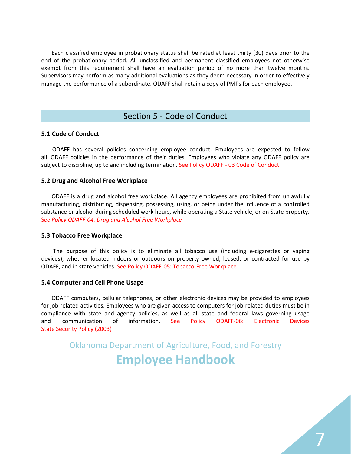Each classified employee in probationary status shall be rated at least thirty (30) days prior to the end of the probationary period. All unclassified and permanent classified employees not otherwise exempt from this requirement shall have an evaluation period of no more than twelve months. Supervisors may perform as many additional evaluations as they deem necessary in order to effectively manage the performance of a subordinate. ODAFF shall retain a copy of PMPs for each employee.

## Section 5 - Code of Conduct

#### <span id="page-6-1"></span><span id="page-6-0"></span>**5.1 Code of Conduct**

ODAFF has several policies concerning employee conduct. Employees are expected to follow all ODAFF policies in the performance of their duties. Employees who violate any ODAFF policy are subject to discipline, up to and including termination. See Policy ODAFF - 03 Code of Conduct

#### **5.2 Drug and Alcohol Free Wor[kplace](http://www.ag.ok.gov/handbook/Documents/Policy%20ODAFF-03%20Code%20of%20Conduct.pdf)**

<span id="page-6-2"></span>ODAFF is a drug and alcohol free workplace. All agency employees are prohibited from unlawfully manufacturing, distributing, dispensing, possessing, using, or being under the influence of a controlled substance or alcohol during scheduled work hours, while operating a State vehicle, or on State property. S*ee Policy ODAFF-04: Drug and Alcohol Free Workplace*

#### **5.3 Tobacco Free Workplace**

<span id="page-6-3"></span>The purpose of thi[s policy is to eliminate all tobacco use \(includin](http://www.ag.ok.gov/handbook/Documents/Policy%20ODAFF-04%20Drug%20-%20Alcohol%20Free%20Workplace.pdf)g e-cigarettes or vaping devices), whether located indoors or outdoors on property owned, leased, or contracted for use by ODAFF, and in state vehicles. See Policy ODAFF-05: Tobacco-Free Workplace

#### **5.4 Computer and Cell Phone Usage**

<span id="page-6-4"></span>ODAFF computers, cellular telephones, or other electronic devices may be provided to employees for job-related activities. Employees who are given access to computers for job-related duties must be in compliance with state and [agency policies, as well as all state and f](http://www.ag.ok.gov/handbook/Documents/Policy%20ODAFF-05%20Tobacco%20Free%20Workplace.pdf)ederal laws governing usage and communication of information. See Policy ODAFF-06: Electronic Devices State Security Policy (2003)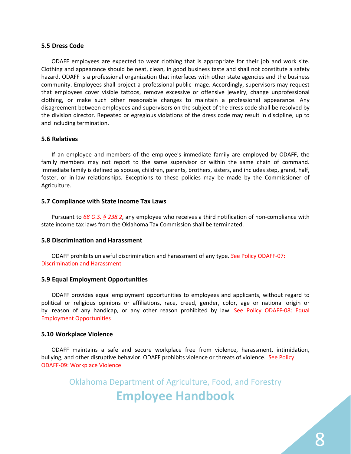#### <span id="page-7-0"></span>**5.5 Dress Code**

ODAFF employees are expected to wear clothing that is appropriate for their job and work site. Clothing and appearance should be neat, clean, in good business taste and shall not constitute a safety hazard. ODAFF is a professional organization that interfaces with other state agencies and the business community. Employees shall project a professional public image. Accordingly, supervisors may request that employees cover visible tattoos, remove excessive or offensive jewelry, change unprofessional clothing, or make such other reasonable changes to maintain a professional appearance. Any disagreement between employees and supervisors on the subject of the dress code shall be resolved by the division director. Repeated or egregious violations of the dress code may result in discipline, up to and including termination.

#### <span id="page-7-1"></span>**5.6 Relatives**

If an employee and members of the employee's immediate family are employed by ODAFF, the family members may not report to the same supervisor or within the same chain of command. Immediate family is defined as spouse, children, parents, brothers, sisters, and includes step, grand, half, foster, or in-law relationships. Exceptions to these policies may be made by the Commissioner of Agriculture.

#### <span id="page-7-2"></span>**5.7 Compliance with State Income Tax Laws**

Pursuant to *[68 O.S. § 238.2](http://www.oscn.net/applications/oscn/DeliverDocument.asp?CiteID=437426)*, any employee who receives a third notification of non-compliance with state income tax laws from the Oklahoma Tax Commission shall be terminated.

#### <span id="page-7-3"></span>**5.8 Discrimination and Harassment**

ODAFF prohibits unlawful discrimination and harassment of any type. *S*ee Policy ODAFF-07: Discrimination and Harass[ment](http://www.ag.ok.gov/handbook/Documents/Policy%20ODAFF-07%20Discrimination%20and%20Harrassment.pdf)

#### <span id="page-7-4"></span>**5.9 Equal Employment Opportunities**

ODAFF provides equal employment opportunities to employees and applicants, without regard to political or religious opinions or affiliations, race, creed, gender, color, age or national origin or by reason of any handicap, or any other reason prohibited by law. See Policy ODAFF-08: Equal Employment Opportunities

#### **5.10 Workplace Violenc[e](http://www.ag.ok.gov/handbook/Documents/Policy%20ODAFF-08%20Equal%20Employment%20Opportunties.pdf)**

<span id="page-7-5"></span>ODAFF maintains a safe and secure workplace free from violence, harassment, intimidation, bullying, and other disruptive behavior. ODAFF prohibits violence or threats of violence. See Policy ODAFF-09: Workplace Violence

Oklahoma Department of Agriculture, Food, and Forestry

## **E[mployee Handboo](http://www.ag.ok.gov/handbook/Documents/Policy%20ODAFF-09%20Workplace%20Violence.pdf)k**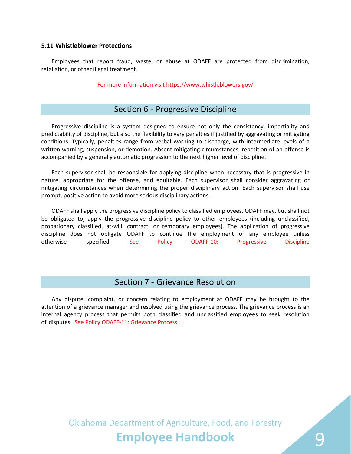#### <span id="page-8-0"></span>**5.11 Whistleblower Protections**

Employees that report fraud, waste, or abuse at ODAFF are protected from discrimination, retaliation, or other illegal treatment.

For more infor[mation visit https://www.whist](http://www.oscn.net/applications/oscn/DeliverDocument.asp?CiteID=437892)leblowers.gov/

## Section 6 - Progressive Discipline

<span id="page-8-1"></span>Progressive discipline is a system designed to ensure not only the consistency, impartiality and predictability of discipline, but also the flexibility to vary penalties if justified by aggravating or mitigating conditions. Typically, penalties range from verbal warning to discharge, with intermediate levels of a written warning, suspension, or demotion. Absent mitigating circumstances, repetition of an offense is accompanied by a generally automatic progression to the next higher level of discipline.

Each supervisor shall be responsible for applying discipline when necessary that is progressive in nature, appropriate for the offense, and equitable. Each supervisor shall consider aggravating or mitigating circumstances when determining the proper disciplinary action. Each supervisor shall use prompt, positive action to avoid more serious disciplinary actions.

ODAFF shall apply the progressive discipline policy to classified employees. ODAFF may, but shall not be obligated to, apply the progressive discipline policy to other employees (including unclassified, probationary classified, at-will, contract, or temporary employees). The application of progressive discipline does not obligate ODAFF to continue the employment of any employee unless otherwise specified. See Policy ODAFF-10: Progressive Discipline

### Section 7 - Grievance Resolution

<span id="page-8-2"></span>Any dispute, complaint, or concern relating to employment at ODAFF may be brought to the attention of a grievance manager and resolved using the grievance process. The grievance process is an internal agency process that permits both classified and unclassified employees to seek resolution of disputes. See Policy ODAFF-11: Grievance Process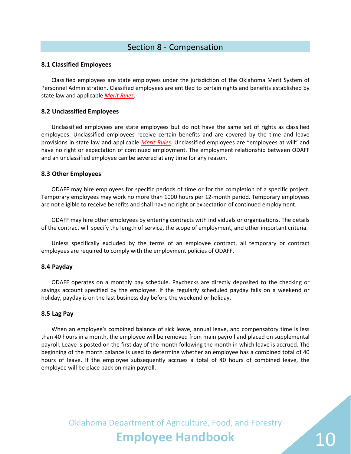## Section 8 - Compensation

#### <span id="page-9-1"></span><span id="page-9-0"></span>**8.1 Classified Employees**

Classified employees are state employees under the jurisdiction of the Oklahoma Merit System of Personnel Administration. Classified employees are entitled to certain rights and benefits established by state law and applicable *[Merit Rules](http://www.ok.gov/opm/HR_and_Employee_Services/Merit_Rules/)*.

#### <span id="page-9-2"></span>**8.2 Unclassified Employees**

Unclassified employees are state employees but do not have the same set of rights as classified employees. Unclassified employees receive certain benefits and are covered by the time and leave provisions in state law and applicable *[Merit Rules](http://www.ok.gov/opm/HR_and_Employee_Services/Merit_Rules/)*. Unclassified employees are "employees at will" and have no right or expectation of continued employment. The employment relationship between ODAFF and an unclassified employee can be severed at any time for any reason.

#### <span id="page-9-3"></span>**8.3 Other Employees**

ODAFF may hire employees for specific periods of time or for the completion of a specific project. Temporary employees may work no more than 1000 hours per 12-month period. Temporary employees are not eligible to receive benefits and shall have no right or expectation of continued employment.

ODAFF may hire other employees by entering contracts with individuals or organizations. The details of the contract will specify the length of service, the scope of employment, and other important criteria.

Unless specifically excluded by the terms of an employee contract, all temporary or contract employees are required to comply with the employment policies of ODAFF.

#### <span id="page-9-4"></span>**8.4 Payday**

ODAFF operates on a monthly pay schedule. Paychecks are directly deposited to the checking or savings account specified by the employee. If the regularly scheduled payday falls on a weekend or holiday, payday is on the last business day before the weekend or holiday.

#### <span id="page-9-5"></span>**8.5 Lag Pay**

When an employee's combined balance of sick leave, annual leave, and compensatory time is less than 40 hours in a month, the employee will be removed from main payroll and placed on supplemental payroll. Leave is posted on the first day of the month following the month in which leave is accrued. The beginning of the month balance is used to determine whether an employee has a combined total of 40 hours of leave. If the employee subsequently accrues a total of 40 hours of combined leave, the employee will be place back on main payroll.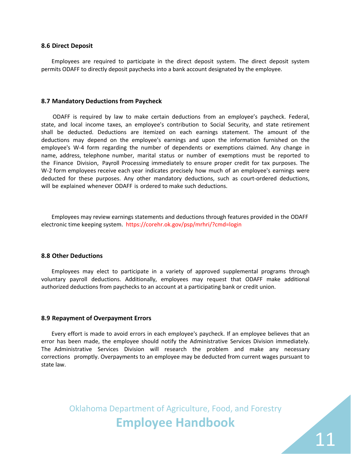#### <span id="page-10-0"></span>**8.6 Direct Deposit**

Employees are required to participate in the direct deposit system. The direct deposit system permits ODAFF to directly deposit paychecks into a bank account designated by the employee.

#### <span id="page-10-1"></span>**8.7 Mandatory Deductions from Paycheck**

ODAFF is required by law to make certain deductions from an employee's paycheck. Federal, state, and local income taxes, an employee's contribution to Social Security, and state retirement shall be deducted. Deductions are itemized on each earnings statement. The amount of the deductions may depend on the employee's earnings and upon the information furnished on the employee's W-4 form regarding the number of dependents or exemptions claimed. Any change in name, address, telephone number, marital status or number of exemptions must be reported to the Finance Division, Payroll Processing immediately to ensure proper credit for tax purposes. The W-2 form employees receive each year indicates precisely how much of an employee's earnings were deducted for these purposes. Any other mandatory deductions, such as court-ordered deductions, will be explained whenever ODAFF is ordered to make such deductions.

Employees may review earnings st[atements and deductions th](http://www.oktax.state.ok.us/)rough features provided in the ODAFF electronic time keeping system. https:[//corehr.ok.gov/psp/mrhr](http://www.ag.ok.gov/handbook/Documents/Policy%20ODAFF-99.h%20OPERS%20Address%20Change.pdf)i/?cmd=login

#### **8.8 Other Deductions**

<span id="page-10-2"></span>Employees may elect to participate in a variety of approved supplemental programs through voluntary payroll deductions. Additionally, employees may request that ODAFF make additional authorized deductions from paychecks to an account at a participating bank or credit union.

#### **8.9 Repayment of Overpayment E[rrors](http://www.ok.gov/opm/Voluntary_Payroll_Deduction/)**

<span id="page-10-3"></span>Every effort is made to avoid errors in each employee's paycheck. If an employee believes that an error has been made, the employee should notify the Administrative Services Division immediately. The Administrative Services Division will research the problem and make any necessary corrections promptly. Overpayments to an employee may be deducted from current wages pursuant to state law.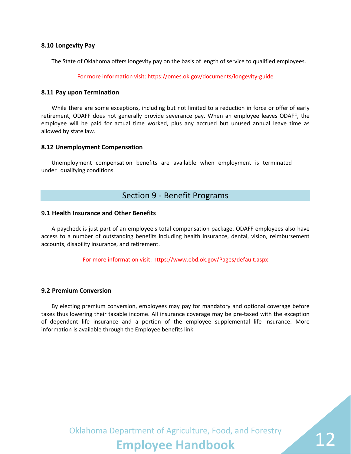#### <span id="page-11-0"></span>**8.10 Longevity Pay**

The State of Oklahoma offers longevity pay on the basis of length of service to qualified employees.

#### For more information [visit: https://omes.ok.gov/docu](http://www.ag.ok.gov/handbook/Documents/Policy%20ODAFF-99.d%20Longevity%20Pay%20Guide.pdf)ments/longevity-guide

#### <span id="page-11-1"></span>**8.11 Pay upon Termination**

While there are some exceptions, including but not limited to a reduction in force or offer of early retirement, ODAFF does not generally provide severance pay. When an employee leaves ODAFF, the employee will be paid for actual time worked, plus any accrued but unused annual leave time as allowed by state law.

#### <span id="page-11-2"></span>**8.12 Unemployment Compensation**

Unemployment compensation benefits are available when employment is terminated under qualifying conditions.

### Section 9 - Benefit Programs

#### <span id="page-11-4"></span><span id="page-11-3"></span>**9.1 Health Insurance and Other Benefits**

A paycheck is just part of an employee's total compensation package. ODAFF employees also have access to a number of outstanding benefits including health insurance, dental, vision, reimbursement accounts, disability insurance, and retirement.

For more information visit[: https://www.ebd.o](https://www.ebd.ok.gov/Pages/default.aspx)k.gov/Pages/default.aspx

#### <span id="page-11-5"></span>**9.2 Premium Conversion**

By electing premium conversion, employees may pay for mandatory and optional coverage before taxes thus lowering their taxable income. All insurance coverage may be pre-taxed with the exception of dependent life insurance and a portion of the employee supplemental life insurance. More information is available through the Employee benefits link.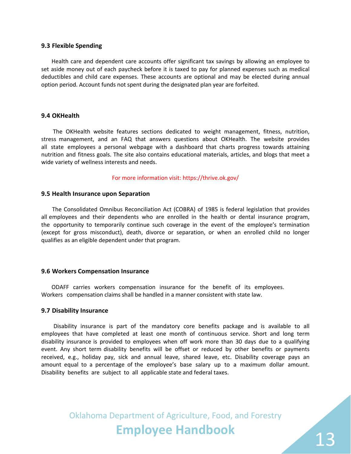#### <span id="page-12-0"></span>**9.3 Flexible Spending**

Health care and dependent care accounts offer significant tax savings by allowing an employee to set aside money out of each paycheck before it is taxed to pay for planned expenses such as medical deductibles and child care expenses. These accounts are optional and may be elected during annual option period. Account funds not spent during the designated plan year are forfeited.

#### <span id="page-12-1"></span>**9.4 OKHealth**

The OKHealth website features sections dedicated to weight management, fitness, nutrition, stress management, and an FAQ that answers questions about OKHealth. The website provides all state employees a personal webpage with a dashboard that charts progress towards attaining nutrition and fitness goals. The site also contains educational materials, articles, and blogs that meet a wide variety of wellness interests and needs.

For more [information visit: https://thriv](https://www.ebd.ok.gov/OKHealth/Pages/default.aspx)e.ok.gov/

#### <span id="page-12-2"></span>**9.5 Health Insurance upon Separation**

The Consolidated Omnibus Reconciliation Act (COBRA) of 1985 is federal legislation that provides all employees and their dependents who are enrolled in the health or dental insurance program, the opportunity to temporarily continue such coverage in the event of the employee's termination (except for gross misconduct), death, divorce or separation, or when an enrolled child no longer qualifies as an eligible dependent under that program.

#### <span id="page-12-3"></span>**9.6 Workers Compensation Insurance**

ODAFF carries workers compensation insurance for the benefit of its employees. Workers compensation claims shall be handled in a manner consistent with state law.

#### <span id="page-12-4"></span>**9.7 Disability Insurance**

Disability insurance is part of the mandatory core benefits package and is available to all employees that have completed at least one month of continuous service. Short and long term disability insurance is provided to employees when off work more than 30 days due to a qualifying event. Any short term disability benefits will be offset or reduced by other benefits or payments received, e.g., holiday pay, sick and annual leave, shared leave, etc. Disability coverage pays an amount equal to a percentage of the employee's base salary up to a maximum dollar amount. Disability benefits are subject to all applicable state and federal taxes.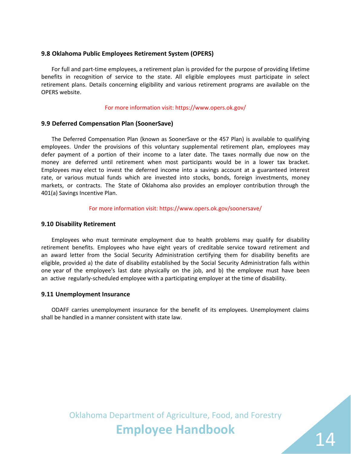#### <span id="page-13-0"></span>**9.8 Oklahoma Public Employees Retirement System (OPERS)**

For full and part-time employees, a retirement plan is provided for the purpose of providing lifetime benefits in recognition of service to the state. All eligible employees must participate in select retirement plans. Details concerning eligibility and various retirement programs are available on the OPERS website.

#### For more information v[isit: http](http://www.opers.ok.gov/)s://www.opers.ok.gov/

#### <span id="page-13-1"></span>**9.9 Deferred Compensation Plan (SoonerSave)**

The Deferred Compensation Plan (known as SoonerSave or the 457 Plan) is available to qualifying employees. Under the provisions of this voluntary supplemental retirement plan, employees may defer payment of a portion of their income to a later date. The taxes normally due now on the money are deferred until retirement when most participants would be in a lower tax bracket. Employees may elect to invest the deferred income into a savings account at a guaranteed interest rate, or various mutual funds which are invested into stocks, bonds, foreign investments, money markets, or contracts. The State of Oklahoma also provides an employer contribution through the 401(a) Savings Incentive Plan.

#### For more information visit: [https://www](https://soonersaveretire.gwrs.com/login.do).opers.ok.gov/soonersave/

#### <span id="page-13-2"></span>**9.10 Disability Retirement**

Employees who must terminate employment due to health problems may qualify for disability retirement benefits. Employees who have eight years of creditable service toward retirement and an award letter from the Social Security Administration certifying them for disability benefits are eligible, provided a) the date of disability established by the Social Security Administration falls within one year of the employee's last date physically on the job, and b) the employee must have been an active regularly-scheduled employee with a participating employer at the time of disability.

#### <span id="page-13-3"></span>**9.11 Unemployment Insurance**

ODAFF carries unemployment insurance for the benefit of its employees. Unemployment claims shall be handled in a manner consistent with state law.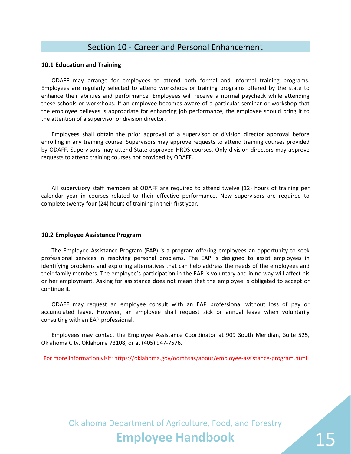### Section 10 - Career and Personal Enhancement

#### <span id="page-14-1"></span><span id="page-14-0"></span>**10.1 Education and Training**

ODAFF may arrange for employees to attend both formal and informal training programs. Employees are regularly selected to attend workshops or training programs offered by the state to enhance their abilities and performance. Employees will receive a normal paycheck while attending these schools or workshops. If an employee becomes aware of a particular seminar or workshop that the employee believes is appropriate for enhancing job performance, the employee should bring it to the attention of a supervisor or division director.

Employees shall obtain the prior approval of a supervisor or division director approval before enrolling in any training course. Supervisors may approve requests to attend training courses provided by ODAFF. Supervisors may attend State approved HRDS courses. Only division directors may approve requests to attend training courses not provided by ODAFF.

All supervisory staff members at ODAFF are required to attend twelve (12) hours of training per calendar year in courses related to their effective performance. New supervisors are required to complete twenty-four (24) hours of training in their first year.

#### <span id="page-14-2"></span>**10.2 Employee Assistance Program**

The Employee Assistance Program (EAP) is a program offering employees an opportunity to seek professional services in resolving personal problems. The EAP is designed to assist employees in identifying problems and exploring alternatives that can help address the needs of the employees and their family members. The employee's participation in the EAP is voluntary and in no way will affect his or her employment. Asking for assistance does not mean that the employee is obligated to accept or continue it.

ODAFF may request an employee consult with an EAP professional without loss of pay or accumulated leave. However, an employee shall request sick or annual leave when voluntarily consulting with an EAP professional.

Employees may contact the Employee Assistance Coordinator at 909 South Meridian, Suite 525, Oklahoma City, Oklahoma 73108, or at (405) 947-7576.

For more information visit: https://[oklahoma.gov/odmhsas/about/](http://www.ok.gov/opm/HR_and_Employee_Services/EAP/)employee-assistance-program.html

Oklahoma Department of Agriculture, Food, and Forestry **Employee Handbook**

15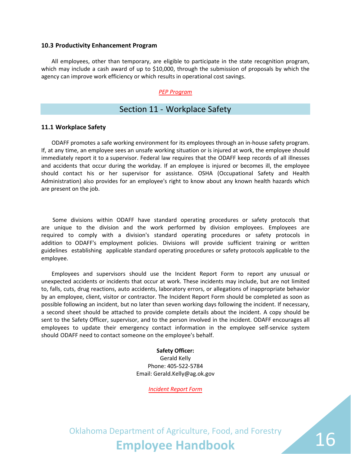#### <span id="page-15-0"></span>**10.3 Productivity Enhancement Program**

All employees, other than temporary, are eligible to participate in the state recognition program, which may include a cash award of up to \$10,000, through the submission of proposals by which the agency can improve work efficiency or which results in operational cost savings.

#### *[PEP Program](http://www.ag.ok.gov/handbook/Documents/Policy%20ODAFF-99.f%20PEP%20Award%20Program%20Flyer%202008.pdf)*

### Section 11 - Workplace Safety

#### <span id="page-15-2"></span><span id="page-15-1"></span>**11.1 Workplace Safety**

ODAFF promotes a safe working environment for its employees through an in-house safety program. If, at any time, an employee sees an unsafe working situation or is injured at work, the employee should immediately report it to a supervisor. Federal law requires that the ODAFF keep records of all illnesses and accidents that occur during the workday. If an employee is injured or becomes ill, the employee should contact his or her supervisor for assistance. OSHA (Occupational Safety and Health Administration) also provides for an employee's right to know about any known health hazards which are present on the job.

Some divisions within ODAFF have standard operating procedures or safety protocols that are unique to the division and the work performed by division employees. Employees are required to comply with a division's standard operating procedures or safety protocols in addition to ODAFF's employment policies. Divisions will provide sufficient training or written guidelines establishing applicable standard operating procedures or safety protocols applicable to the employee.

Employees and supervisors should use the Incident Report Form to report any unusual or unexpected accidents or incidents that occur at work. These incidents may include, but are not limited to, falls, cuts, drug reactions, auto accidents, laboratory errors, or allegations of inappropriate behavior by an employee, client, visitor or contractor. The Incident Report Form should be completed as soon as possible following an incident, but no later than seven working days following the incident. If necessary, a second sheet should be attached to provide complete details about the incident. A copy should be sent to the Safety Officer, supervisor, and to the person involved in the incident. ODAFF encourages all employees to update their emergency contact information in the employee self-service system should ODAFF need to contact someone on the employee's behalf.

#### **Safety Officer:**

Gerald Kelly Phone: 405-522-5784 Email: Gerald.Kelly@ag.ok.gov

*Incident Report Form*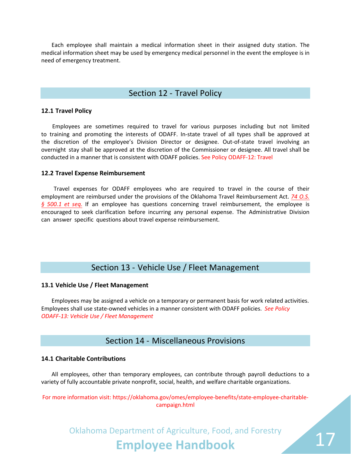Each employee shall maintain a medical information sheet in their assigned duty station. The medical information sheet may be used by emergency medical personnel in the event the employee is in need of emergency treatment.

### Section 12 - Travel Policy

#### <span id="page-16-1"></span><span id="page-16-0"></span>**12.1 Travel Policy**

Employees are sometimes required to travel for various purposes including but not limited to training and promoting the interests of ODAFF. In-state travel of all types shall be approved at the discretion of the employee's Division Director or designee. Out-of-state travel involving an overnight stay shall be approved at the discretion of the Commissioner or designee. All travel shall be conducted in a manner that is consistent with ODAFF policies. See Policy ODAFF-12: Travel

#### **12.2 Travel Expense Reimbursemen[t](http://www.ag.ok.gov/handbook/Documents/Policy%20ODAFF-12%20Travel.pdf)**

<span id="page-16-2"></span>Travel expenses for ODAFF employees who are required to travel in the course of their employment are reimbursed under the provisions of the Oklahoma Travel Reimbursement Act. *74 O.S. § 500.1 et seq.* If an employee has questions concerning travel reimbursement, the employee is encouraged to seek clarification before incurring any personal expense. The [Administrative Division](http://www.oscn.net/applications/oscn/Index.asp?ftdb=STOKST74&level=1)  can answer specific questions about travel expense reimbursement.

## Section 13 - Vehicle Use / Fleet Management

#### <span id="page-16-4"></span><span id="page-16-3"></span>**13.1 Vehicle Use / Fleet Management**

Employees may be assigned a vehicle on a temporary or permanent basis for work related activities. Employees shall use state-owned vehicles in a manner consistent with ODAFF policies. *See Policy ODAFF-13: Vehicle Use / Fleet Management*

## Section 14 - Miscellaneous Provisions

#### <span id="page-16-6"></span><span id="page-16-5"></span>**14.1 Charitable Contributions**

All employees, other than temporary employees, can contribute through payroll deductions to a variety of fully accountable private nonprofit, social, health, and welfare charitable organizations.

For more information visit: [https://oklahoma.gov/omes/employee-benefits/state-employee-charitable](https://oklahoma.gov/omes/employee-benefits/state-employee-charitable-campaign.html)campaign.html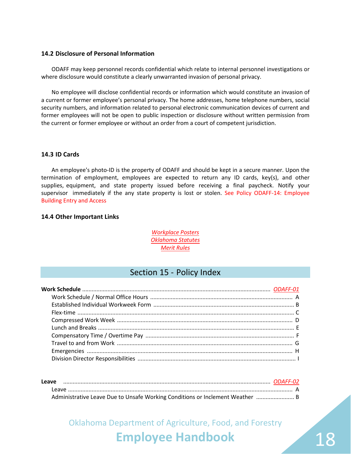#### <span id="page-17-0"></span>**14.2 Disclosure of Personal Information**

ODAFF may keep personnel records confidential which relate to internal personnel investigations or where disclosure would constitute a clearly unwarranted invasion of personal privacy.

No employee will disclose confidential records or information which would constitute an invasion of a current or former employee's personal privacy. The home addresses, home telephone numbers, social security numbers, and information related to personal electronic communication devices of current and former employees will not be open to public inspection or disclosure without written permission from the current or former employee or without an order from a court of competent jurisdiction.

#### <span id="page-17-1"></span>**14.3 ID Cards**

An employee's photo-ID is the property of ODAFF and should be kept in a secure manner. Upon the termination of employment, employees are expected to return any ID cards, key(s), and other supplies, equipment, and state property issued before receiving a final paycheck. Notify your supervisor immediately if the any state property is lost or stolen. See Policy ODAFF-14: Employee Building Entry and Acces[s](http://www.ag.ok.gov/handbook/Documents/Policy%20ODAFF-14%20Employee%20Building%20Entry%20and%20Access.pdf)

#### <span id="page-17-2"></span>**14.4 Other Important Links**

*Workplace Posters [Oklahoma Statutes](http://ok.gov/OSF/OMES_Employee_Information.html#Posters) [Merit Rules](http://www.oscn.net/applications/oscn/index.asp?ftdb=STOKST&level=1)*

## Section 15 - Policy Index

<span id="page-17-3"></span>

| Leave |                                                                               |  |
|-------|-------------------------------------------------------------------------------|--|
|       |                                                                               |  |
|       | Administrative Leave Due to Unsafe Working Conditions or Inclement Weather  B |  |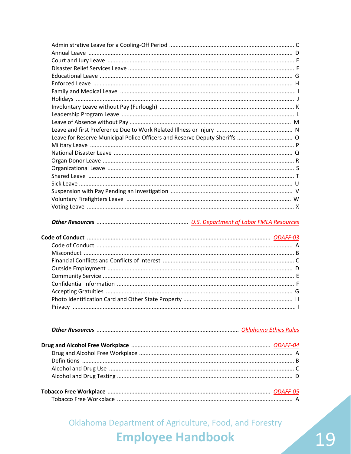|--|--|--|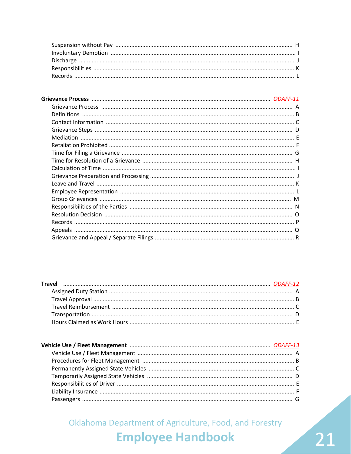# 21